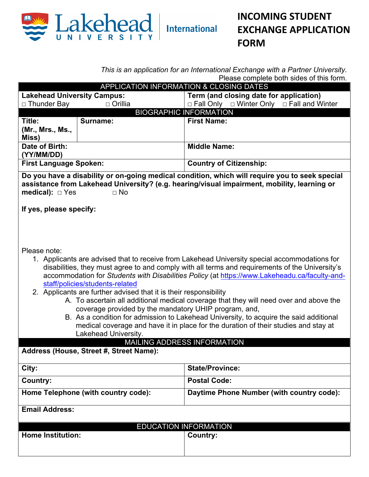

*This is an application for an International Exchange with a Partner University.*  Please complete both sides of this form.

| <b>The case complete both clubs</b> of this form.<br>APPLICATION INFORMATION & CLOSING DATES                                                                                                                                                                                                                                                                                                                                                                                                                                                                                                                                                                                                                                                                                                                                                    |                |                                                            |  |
|-------------------------------------------------------------------------------------------------------------------------------------------------------------------------------------------------------------------------------------------------------------------------------------------------------------------------------------------------------------------------------------------------------------------------------------------------------------------------------------------------------------------------------------------------------------------------------------------------------------------------------------------------------------------------------------------------------------------------------------------------------------------------------------------------------------------------------------------------|----------------|------------------------------------------------------------|--|
| <b>Lakehead University Campus:</b>                                                                                                                                                                                                                                                                                                                                                                                                                                                                                                                                                                                                                                                                                                                                                                                                              |                | Term (and closing date for application)                    |  |
| $\Box$ Thunder Bay                                                                                                                                                                                                                                                                                                                                                                                                                                                                                                                                                                                                                                                                                                                                                                                                                              | $\Box$ Orillia | $\Box$ Fall Only $\Box$ Winter Only $\Box$ Fall and Winter |  |
| <b>BIOGRAPHIC INFORMATION</b>                                                                                                                                                                                                                                                                                                                                                                                                                                                                                                                                                                                                                                                                                                                                                                                                                   |                |                                                            |  |
| Title:                                                                                                                                                                                                                                                                                                                                                                                                                                                                                                                                                                                                                                                                                                                                                                                                                                          | Surname:       | <b>First Name:</b>                                         |  |
| (Mr., Mrs., Ms.,                                                                                                                                                                                                                                                                                                                                                                                                                                                                                                                                                                                                                                                                                                                                                                                                                                |                |                                                            |  |
| Miss)                                                                                                                                                                                                                                                                                                                                                                                                                                                                                                                                                                                                                                                                                                                                                                                                                                           |                |                                                            |  |
| Date of Birth:                                                                                                                                                                                                                                                                                                                                                                                                                                                                                                                                                                                                                                                                                                                                                                                                                                  |                | <b>Middle Name:</b>                                        |  |
| (YY/MM/DD)                                                                                                                                                                                                                                                                                                                                                                                                                                                                                                                                                                                                                                                                                                                                                                                                                                      |                |                                                            |  |
| <b>First Language Spoken:</b>                                                                                                                                                                                                                                                                                                                                                                                                                                                                                                                                                                                                                                                                                                                                                                                                                   |                | <b>Country of Citizenship:</b>                             |  |
| assistance from Lakehead University? (e.g. hearing/visual impairment, mobility, learning or<br>medical): $\square$ Yes<br>$\Box$ No<br>If yes, please specify:<br>Please note:                                                                                                                                                                                                                                                                                                                                                                                                                                                                                                                                                                                                                                                                  |                |                                                            |  |
| 1. Applicants are advised that to receive from Lakehead University special accommodations for<br>disabilities, they must agree to and comply with all terms and requirements of the University's<br>accommodation for Students with Disabilities Policy (at https://www.Lakeheadu.ca/faculty-and-<br>staff/policies/students-related<br>2. Applicants are further advised that it is their responsibility<br>A. To ascertain all additional medical coverage that they will need over and above the<br>coverage provided by the mandatory UHIP program, and,<br>B. As a condition for admission to Lakehead University, to acquire the said additional<br>medical coverage and have it in place for the duration of their studies and stay at<br>Lakehead University.<br>MAILING ADDRESS INFORMATION<br>Address (House, Street #, Street Name): |                |                                                            |  |
|                                                                                                                                                                                                                                                                                                                                                                                                                                                                                                                                                                                                                                                                                                                                                                                                                                                 |                |                                                            |  |
| City:                                                                                                                                                                                                                                                                                                                                                                                                                                                                                                                                                                                                                                                                                                                                                                                                                                           |                | <b>State/Province:</b>                                     |  |
| <b>Country:</b>                                                                                                                                                                                                                                                                                                                                                                                                                                                                                                                                                                                                                                                                                                                                                                                                                                 |                | <b>Postal Code:</b>                                        |  |
| Home Telephone (with country code):                                                                                                                                                                                                                                                                                                                                                                                                                                                                                                                                                                                                                                                                                                                                                                                                             |                | Daytime Phone Number (with country code):                  |  |
| <b>Email Address:</b>                                                                                                                                                                                                                                                                                                                                                                                                                                                                                                                                                                                                                                                                                                                                                                                                                           |                |                                                            |  |
| <b>EDUCATION INFORMATION</b>                                                                                                                                                                                                                                                                                                                                                                                                                                                                                                                                                                                                                                                                                                                                                                                                                    |                |                                                            |  |
| <b>Home Institution:</b>                                                                                                                                                                                                                                                                                                                                                                                                                                                                                                                                                                                                                                                                                                                                                                                                                        |                | <b>Country:</b>                                            |  |